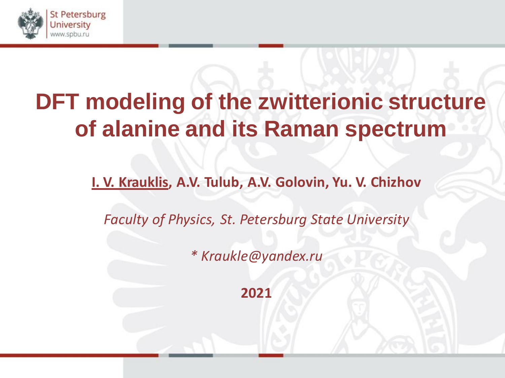

**I. V. Krauklis, A.V. Tulub, A.V. Golovin, Yu. V. Chizhov**

*Faculty of Physics, St. Petersburg State University*

*\* Kraukle@yandex.ru* 

**2021**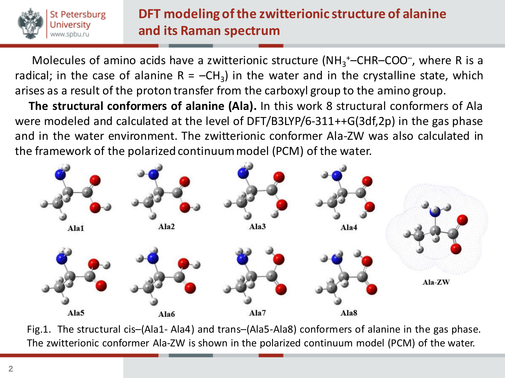

Molecules of amino acids have a zwitterionic structure (NH<sub>3</sub><sup>+</sup>-CHR-COO<sup>-</sup>, where R is a radical; in the case of alanine  $R = -CH_3$ ) in the water and in the crystalline state, which arises as a result of the proton transfer from the carboxyl group to the amino group.

 **The structural conformers of alanine (Ala).** In this work 8 structural conformers of Ala were modeled and calculated at the level of DFT/B3LYP/6-311++G(3df,2p) in the gas phase and in the water environment. The zwitterionic conformer Ala-ZW was also calculated in the framework of the polarized continuummodel (PCM) of the water.



Fig.1. The structural cis–(Ala1- Ala4) and trans–(Ala5-Ala8) conformers of alanine in the gas phase. The zwitterionic conformer Ala-ZW is shown in the polarized continuum model (PCM) of the water.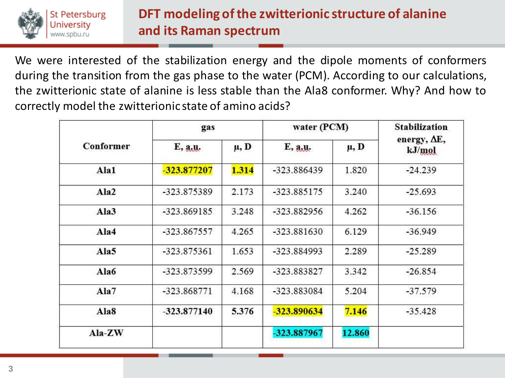

We were interested of the stabilization energy and the dipole moments of conformers during the transition from the gas phase to the water (PCM). According to our calculations, the zwitterionic state of alanine is less stable than the Ala8 conformer. Why? And how to correctly model the zwitterionic state of amino acids?

| Conformer | gas           |           | water (PCM)   |           | <b>Stabilization</b>           |
|-----------|---------------|-----------|---------------|-----------|--------------------------------|
|           | E, a,u.       | $\mu$ , D | E, a,u.       | $\mu$ , D | energy, $\Delta E$ ,<br>kJ/mol |
| Ala1      | -323.877207   | 1.314     | -323.886439   | 1.820     | $-24.239$                      |
| Ala2      | -323.875389   | 2.173     | -323.885175   | 3.240     | $-25.693$                      |
| Ala3      | -323.869185   | 3.248     | -323.882956   | 4.262     | $-36.156$                      |
| Ala4      | $-323.867557$ | 4.265     | $-323.881630$ | 6.129     | $-36.949$                      |
| Ala5      | $-323.875361$ | 1.653     | -323.884993   | 2.289     | $-25.289$                      |
| Ala6      | -323.873599   | 2.569     | -323.883827   | 3.342     | $-26.854$                      |
| Ala7      | -323.868771   | 4.168     | -323.883084   | 5.204     | $-37.579$                      |
| Ala8      | $-323.877140$ | 5.376     | -323.890634   | 7.146     | $-35.428$                      |
| Ala-ZW    |               |           | -323.887967   | 12.860    |                                |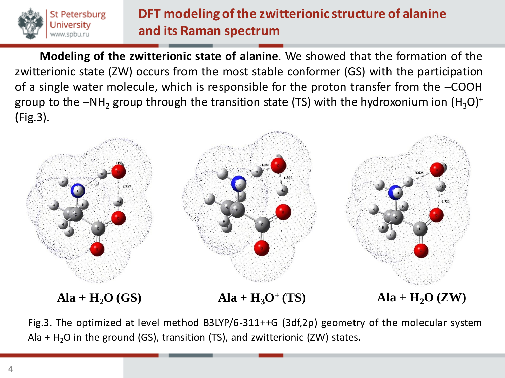

**Modeling of the zwitterionic state of alanine**. We showed that the formation of the zwitterionic state (ZW) occurs from the most stable conformer (GS) with the participation of a single water molecule, which is responsible for the proton transfer from the –COOH group to the  $-NH<sub>2</sub>$  group through the transition state (TS) with the hydroxonium ion  $(H<sub>3</sub>O)<sup>+</sup>$ (Fig.3).



Fig.3. The optimized at level method B3LYP/6-311++G (3df,2p) geometry of the molecular system Ala + H<sub>2</sub>O in the ground (GS), transition (TS), and zwitterionic (ZW) states.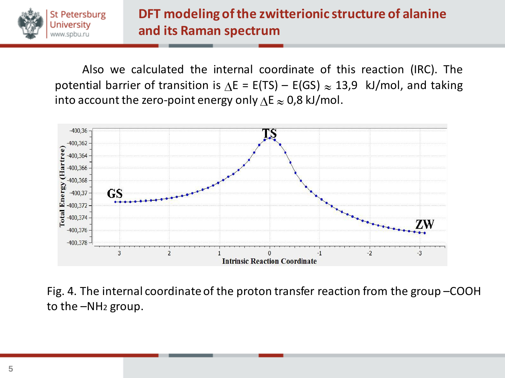

Also we calculated the internal coordinate of this reaction (IRC). The potential barrier of transition is  $\Delta E = E(TS) - E(GS) \approx 13.9$  kJ/mol, and taking into account the zero-point energy only  $\Delta E \approx 0.8$  kJ/mol.



Fig. 4. The internal coordinate of the proton transfer reaction from the group –COOH to the –NH<sup>2</sup> group.